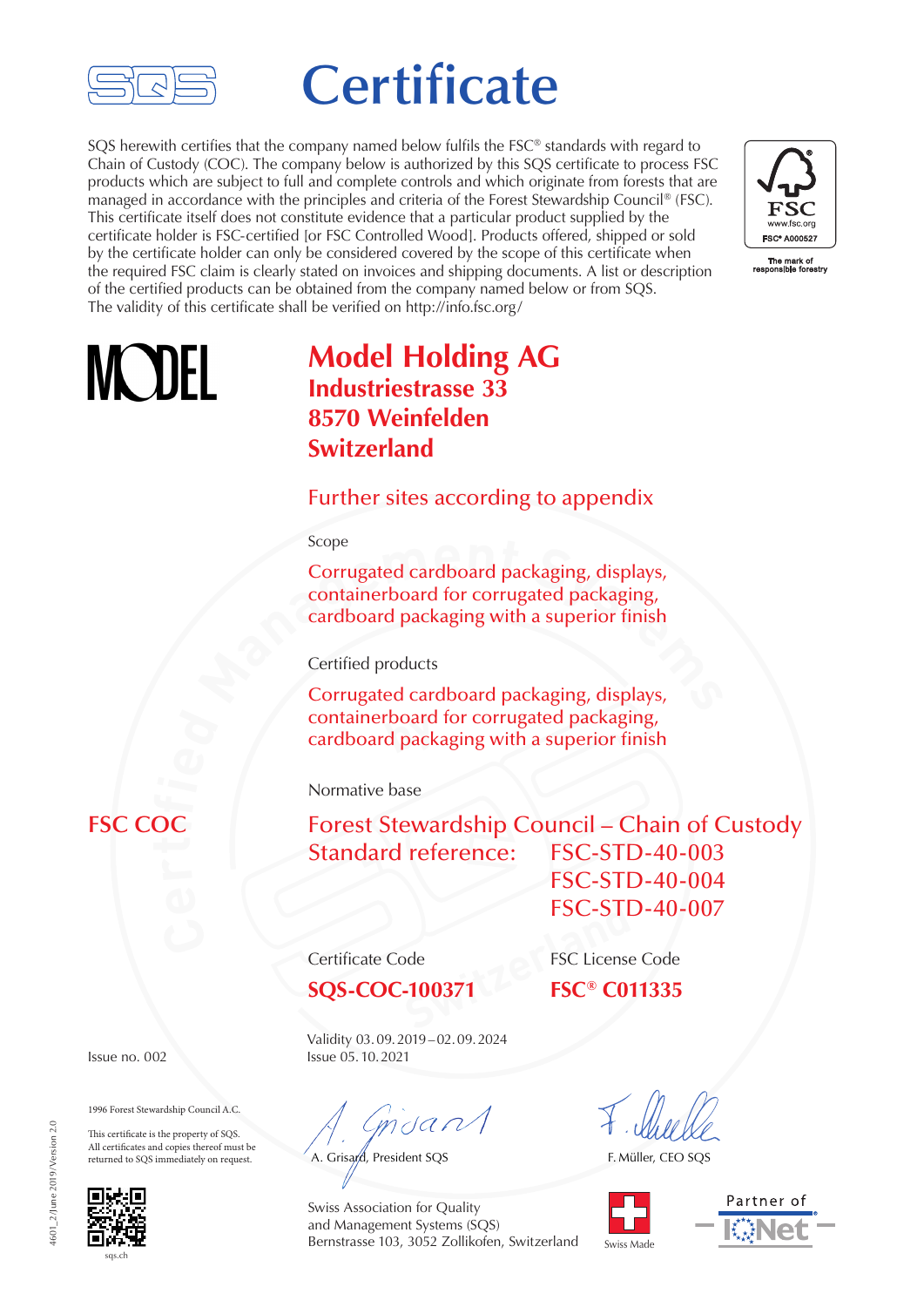

# **Certificate**

SQS herewith certifies that the company named below fulfils the FSC<sup>®</sup> standards with regard to Chain of Custody (COC). The company below is authorized by this SQS certificate to process FSC products which are subject to full and complete controls and which originate from forests that are managed in accordance with the principles and criteria of the Forest Stewardship Council® (FSC). This certificate itself does not constitute evidence that a particular product supplied by the certificate holder is FSC-certified [or FSC Controlled Wood]. Products offered, shipped or sold by the certificate holder can only be considered covered by the scope of this certificate when the required FSC claim is clearly stated on invoices and shipping documents. A list or description of the certified products can be obtained from the company named below or from SQS. The validity of this certificate shall be verified on http://info.fsc.org/



# **MADEL**

## **Model Holding AG Industriestrasse 33 8570 Weinfelden Switzerland**

#### Further sites according to appendix

#### Scope

**Example 1 Corrugated cardboard packaging, displays, containerboard for corrugated packaging, cardboard packaging with a superior finish Certified products Corrugated cardboard packaging, displays,** Corrugated cardboard packaging, displays, containerboard for corrugated packaging, cardboard packaging with a superior finish

Certified products

**by** cardboard packaging with a superior finish Corrugated cardboard packaging, displays, containerboard for corrugated packaging,

Normative base

Forest Stewardship Council – Chain of Custody Standard reference: FSC-STD-40-003 FSC-STD-40-004

**SQS-COC-100371 FSC® C011335**

FSC-STI<br>
Property FSC License<br>
FSC<sup>®</sup> CO Certificate Code FSC License Code

FSC-STD-40-007

Validity 03.09.2019–02.09.2024 **Issue no. 002 Issue 05.10.2021** 

 $m$ dan

A. Grisard, President SQS

F. Müller, CEO SQS



Partner of

### **FSC COC**

1996 Forest Stewardship Council A.C.

This certificate is the property of SQS. All certificates and copies thereof must be returned to SQS immediately on request.



Swiss Association for Quality and Management Systems (SQS) Bernstrasse 103, 3052 Zollikofen, Switzerland

601 2/June 2019/Version 2.0 4601\_2/June 2019/Version 2.0